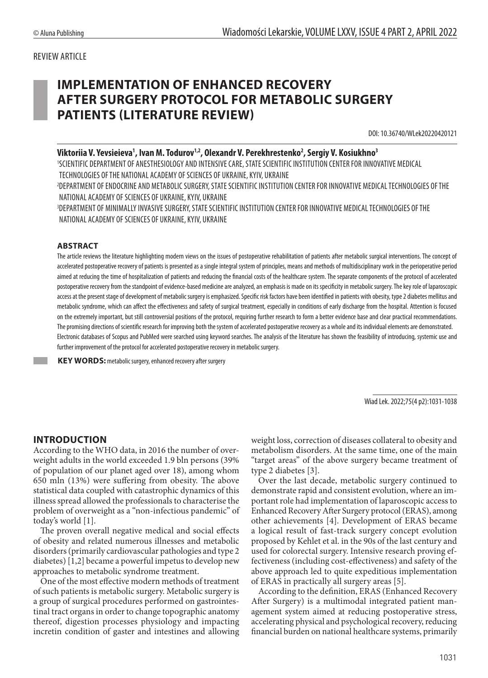### REVIEW ARTICLE

# **IMPLEMENTATION OF ENHANCED RECOVERY AFTER SURGERY PROTOCOL FOR METABOLIC SURGERY PATIENTS (LITERATURE REVIEW)**

DOI: 10.36740/WLek20220420121

### Viktoriia V. Yevsieieva<sup>1</sup>, Ivan M. Todurov<sup>1,2</sup>, Olexandr V. Perekhrestenko<sup>2</sup>, Sergiy V. Kosiukhno<sup>3</sup>

1 SCIENTIFIC DEPARTMENT OF ANESTHESIOLOGY AND INTENSIVE CARE, STATE SCIENTIFIC INSTITUTION CENTER FOR INNOVATIVE MEDICAL TECHNOLOGIES OF THE NATIONAL ACADEMY OF SCIENCES OF UKRAINE, KYIV, UKRAINE

2 DEPARTMENT OF ENDOCRINE AND METABOLIC SURGERY, STATE SCIENTIFIC INSTITUTION CENTER FOR INNOVATIVE MEDICAL TECHNOLOGIES OF THE NATIONAL ACADEMY OF SCIENCES OF UKRAINE, KYIV, UKRAINE

3 DEPARTMENT OF MINIMALLY INVASIVE SURGERY, STATE SCIENTIFIC INSTITUTION CENTER FOR INNOVATIVE MEDICAL TECHNOLOGIES OF THE NATIONAL ACADEMY OF SCIENCES OF UKRAINE, KYIV, UKRAINE

#### **ABSTRACT**

The article reviews the literature highlighting modern views on the issues of postoperative rehabilitation of patients after metabolic surgical interventions. The concept of accelerated postoperative recovery of patients is presented as a single integral system of principles, means and methods of multidisciplinary work in the perioperative period aimed at reducing the time of hospitalization of patients and reducing the financial costs of the healthcare system. The separate components of the protocol of accelerated postoperative recovery from the standpoint of evidence-based medicine are analyzed, an emphasis is made on its specificity in metabolic surgery. The key role of laparoscopic access at the present stage of development of metabolic surgery is emphasized. Specific risk factors have been identified in patients with obesity, type 2 diabetes mellitus and metabolic syndrome, which can affect the effectiveness and safety of surgical treatment, especially in conditions of early discharge from the hospital. Attention is focused on the extremely important, but still controversial positions of the protocol, requiring further research to form a better evidence base and clear practical recommendations. The promising directions of scientific research for improving both the system of accelerated postoperative recovery as a whole and its individual elements are demonstrated. Electronic databases of Scopus and PubMed were searched using keyword searches. The analysis of the literature has shown the feasibility of introducing, systemic use and further improvement of the protocol for accelerated postoperative recovery in metabolic surgery.

**KEY WORDS:** metabolic surgery, enhanced recovery after surgery

Wiad Lek. 2022;75(4 p2):1031-1038

#### **INTRODUCTION**

According to the WHO data, in 2016 the number of overweight adults in the world exceeded 1.9 bln persons (39% of population of our planet aged over 18), among whom 650 mln (13%) were suffering from obesity. The above statistical data coupled with catastrophic dynamics of this illness spread allowed the professionals to characterise the problem of overweight as a "non-infectious pandemic" of today's world [1].

The proven overall negative medical and social effects of obesity and related numerous illnesses and metabolic disorders (primarily cardiovascular pathologies and type 2 diabetes) [1,2] became a powerful impetus to develop new approaches to metabolic syndrome treatment.

One of the most effective modern methods of treatment of such patients is metabolic surgery. Metabolic surgery is a group of surgical procedures performed on gastrointestinal tract organs in order to change topographic anatomy thereof, digestion processes physiology and impacting incretin condition of gaster and intestines and allowing weight loss, correction of diseases collateral to obesity and metabolism disorders. At the same time, one of the main "target areas" of the above surgery became treatment of type 2 diabetes [3].

Over the last decade, metabolic surgery continued to demonstrate rapid and consistent evolution, where an important role had implementation of laparoscopic access to Enhanced Recovery After Surgery protocol (ERAS), among other achievements [4]. Development of ERAS became a logical result of fast-track surgery concept evolution proposed by Kehlet et al. in the 90s of the last century and used for colorectal surgery. Intensive research proving effectiveness (including cost-effectiveness) and safety of the above approach led to quite expeditious implementation of ERAS in practically all surgery areas [5].

According to the definition, ERAS (Enhanced Recovery After Surgery) is a multimodal integrated patient management system aimed at reducing postoperative stress, accelerating physical and psychological recovery, reducing financial burden on national healthcare systems, primarily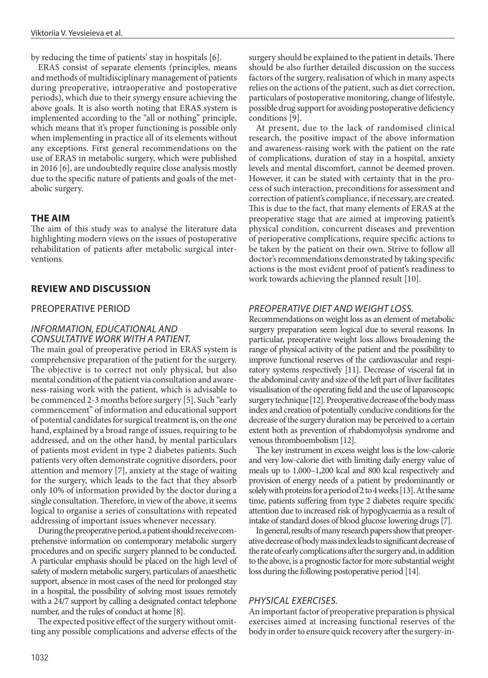by reducing the time of patients' stay in hospitals [6].

ERAS consist of separate elements (principles, means and methods of multidisciplinary management of patients during preoperative, intraoperative and postoperative periods), which due to their synergy ensure achieving the above goals. It is also worth noting that ERAS system is implemented according to the "all or nothing" principle, which means that it's proper functioning is possible only when implementing in practice all of its elements without any exceptions. First general recommendations on the use of ERAS in metabolic surgery, which were published in 2016 [6], are undoubtedly require close analysis mostly due to the specific nature of patients and goals of the metabolic surgery.

#### **THE AIM**

The aim of this study was to analyse the literature data highlighting modern views on the issues of postoperative rehabilitation of patients after metabolic surgical interventions.

#### **REVIEW AND DISCUSSION**

#### PREOPERATIVE PERIOD

### *INFORMATION, EDUCATIONAL AND CONSULTATIVE WORK WITH A PATIENT.*

The main goal of preoperative period in ERAS system is comprehensive preparation of the patient for the surgery. The objective is to correct not only physical, but also mental condition of the patient via consultation and awareness-raising work with the patient, which is advisable to be commenced 2-3 months before surgery [5]. Such "early commencement" of information and educational support of potential candidates for surgical treatment is, on the one hand, explained by a broad range of issues, requiring to be addressed, and on the other hand, by mental particulars of patients most evident in type 2 diabetes patients. Such patients very often demonstrate cognitive disorders, poor attention and memory [7], anxiety at the stage of waiting for the surgery, which leads to the fact that they absorb only 10% of information provided by the doctor during a single consultation. Therefore, in view of the above, it seems logical to organise a series of consultations with repeated addressing of important issues whenever necessary.

During the preoperative period, a patient should receive comprehensive information on contemporary metabolic surgery procedures and on specific surgery planned to be conducted. A particular emphasis should be placed on the high level of safety of modern metabolic surgery, particulars of anaesthetic support, absence in most cases of the need for prolonged stay in a hospital, the possibility of solving most issues remotely with a 24/7 support by calling a designated contact telephone number, and the rules of conduct at home [8].

The expected positive effect of the surgery without omitting any possible complications and adverse effects of the surgery should be explained to the patient in details. There should be also further detailed discussion on the success factors of the surgery, realisation of which in many aspects relies on the actions of the patient, such as diet correction, particulars of postoperative monitoring, change of lifestyle, possible drug support for avoiding postoperative deficiency conditions [9].

At present, due to the lack of randomised clinical research, the positive impact of the above information and awareness-raising work with the patient on the rate of complications, duration of stay in a hospital, anxiety levels and mental discomfort, cannot be deemed proven. However, it can be stated with certainty that in the process of such interaction, preconditions for assessment and correction of patient's compliance, if necessary, are created. This is due to the fact, that many elements of ERAS at the preoperative stage that are aimed at improving patient's physical condition, concurrent diseases and prevention of perioperative complications, require specific actions to be taken by the patient on their own. Strive to follow all doctor's recommendations demonstrated by taking specific actions is the most evident proof of patient's readiness to work towards achieving the planned result [10].

### *PREOPERATIVE DIET AND WEIGHT LOSS.*

Recommendations on weight loss as an element of metabolic surgery preparation seem logical due to several reasons. In particular, preoperative weight loss allows broadening the range of physical activity of the patient and the possibility to improve functional reserves of the cardiovascular and respiratory systems respectively [11]. Decrease of visceral fat in the abdominal cavity and size of the left part of liver facilitates visualisation of the operating field and the use of laparoscopic surgery technique [12]. Preoperative decrease of the body mass index and creation of potentially conducive conditions for the decrease of the surgery duration may be perceived to a certain extent both as prevention of rhabdomyolysis syndrome and venous thromboembolism [12].

The key instrument in excess weight loss is the low-calorie and very low-calorie diet with limiting daily energy value of meals up to 1,000–1,200 kcal and 800 kcal respectively and provision of energy needs of a patient by predominantly or solely with proteins for a period of 2 to 4 weeks [13]. At the same time, patients suffering from type 2 diabetes require specific attention due to increased risk of hypoglycaemia as a result of intake of standard doses of blood glucose lowering drugs [7].

In general, results of many research papers show that preoperative decrease of body mass index leads to significant decrease of the rate of early complications after the surgery and, in addition to the above, is a prognostic factor for more substantial weight loss during the following postoperative period [14].

#### *PHYSICAL EXERCISES.*

An important factor of preoperative preparation is physical exercises aimed at increasing functional reserves of the body in order to ensure quick recovery after the surgery-in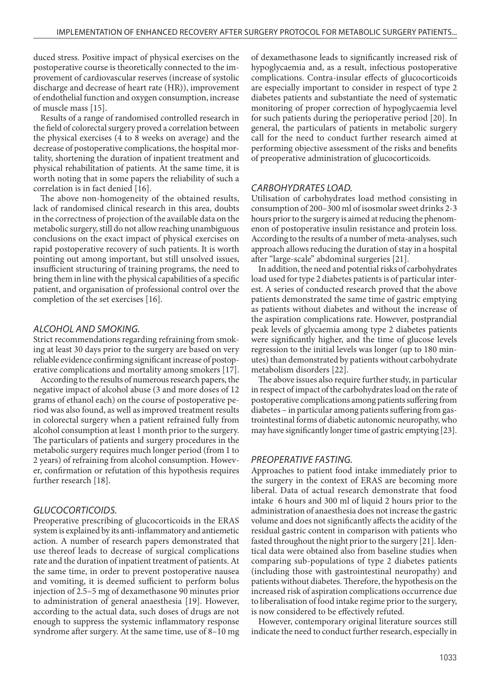duced stress. Positive impact of physical exercises on the postoperative course is theoretically connected to the improvement of cardiovascular reserves (increase of systolic discharge and decrease of heart rate (HR)), improvement of endothelial function and oxygen consumption, increase of muscle mass [15].

Results of a range of randomised controlled research in the field of colorectal surgery proved a correlation between the physical exercises (4 to 8 weeks on average) and the decrease of postoperative complications, the hospital mortality, shortening the duration of inpatient treatment and physical rehabilitation of patients. At the same time, it is worth noting that in some papers the reliability of such a correlation is in fact denied [16].

The above non-homogeneity of the obtained results, lack of randomised clinical research in this area, doubts in the correctness of projection of the available data on the metabolic surgery, still do not allow reaching unambiguous conclusions on the exact impact of physical exercises on rapid postoperative recovery of such patients. It is worth pointing out among important, but still unsolved issues, insufficient structuring of training programs, the need to bring them in line with the physical capabilities of a specific patient, and organisation of professional control over the completion of the set exercises [16].

#### *ALCOHOL AND SMOKING.*

Strict recommendations regarding refraining from smoking at least 30 days prior to the surgery are based on very reliable evidence confirming significant increase of postoperative complications and mortality among smokers [17].

According to the results of numerous research papers, the negative impact of alcohol abuse (3 and more doses of 12 grams of ethanol each) on the course of postoperative period was also found, as well as improved treatment results in colorectal surgery when a patient refrained fully from alcohol consumption at least 1 month prior to the surgery. The particulars of patients and surgery procedures in the metabolic surgery requires much longer period (from 1 to 2 years) of refraining from alcohol consumption. However, confirmation or refutation of this hypothesis requires further research [18].

#### *GLUCOCORTICOIDS.*

Preoperative prescribing of glucocorticoids in the ERAS system is explained by its anti-inflammatory and antiemetic action. A number of research papers demonstrated that use thereof leads to decrease of surgical complications rate and the duration of inpatient treatment of patients. At the same time, in order to prevent postoperative nausea and vomiting, it is deemed sufficient to perform bolus injection of 2.5–5 mg of dexamethasone 90 minutes prior to administration of general anaesthesia [19]. However, according to the actual data, such doses of drugs are not enough to suppress the systemic inflammatory response syndrome after surgery. At the same time, use of 8–10 mg of dexamethasone leads to significantly increased risk of hypoglycaemia and, as a result, infectious postoperative complications. Contra-insular effects of glucocorticoids are especially important to consider in respect of type 2 diabetes patients and substantiate the need of systematic monitoring of proper correction of hypoglycaemia level for such patients during the perioperative period [20]. In general, the particulars of patients in metabolic surgery call for the need to conduct further research aimed at performing objective assessment of the risks and benefits of preoperative administration of glucocorticoids.

#### *CARBOHYDRATES LOAD.*

Utilisation of carbohydrates load method consisting in consumption of 200–300 ml of isosmolar sweet drinks 2-3 hours prior to the surgery is aimed at reducing the phenomenon of postoperative insulin resistance and protein loss. According to the results of a number of meta-analyses, such approach allows reducing the duration of stay in a hospital after "large-scale" abdominal surgeries [21].

In addition, the need and potential risks of carbohydrates load used for type 2 diabetes patients is of particular interest. A series of conducted research proved that the above patients demonstrated the same time of gastric emptying as patients without diabetes and without the increase of the aspiration complications rate. However, postprandial peak levels of glycaemia among type 2 diabetes patients were significantly higher, and the time of glucose levels regression to the initial levels was longer (up to 180 minutes) than demonstrated by patients without carbohydrate metabolism disorders [22].

The above issues also require further study, in particular in respect of impact of the carbohydrates load on the rate of postoperative complications among patients suffering from diabetes – in particular among patients suffering from gastrointestinal forms of diabetic autonomic neuropathy, who may have significantly longer time of gastric emptying [23].

#### *PREOPERATIVE FASTING.*

Approaches to patient food intake immediately prior to the surgery in the context of ERAS are becoming more liberal. Data of actual research demonstrate that food intake 6 hours and 300 ml of liquid 2 hours prior to the administration of anaesthesia does not increase the gastric volume and does not significantly affects the acidity of the residual gastric content in comparison with patients who fasted throughout the night prior to the surgery [21]. Identical data were obtained also from baseline studies when comparing sub-populations of type 2 diabetes patients (including those with gastrointestinal neuropathy) and patients without diabetes. Therefore, the hypothesis on the increased risk of aspiration complications occurrence due to liberalisation of food intake regime prior to the surgery, is now considered to be effectively refuted.

However, contemporary original literature sources still indicate the need to conduct further research, especially in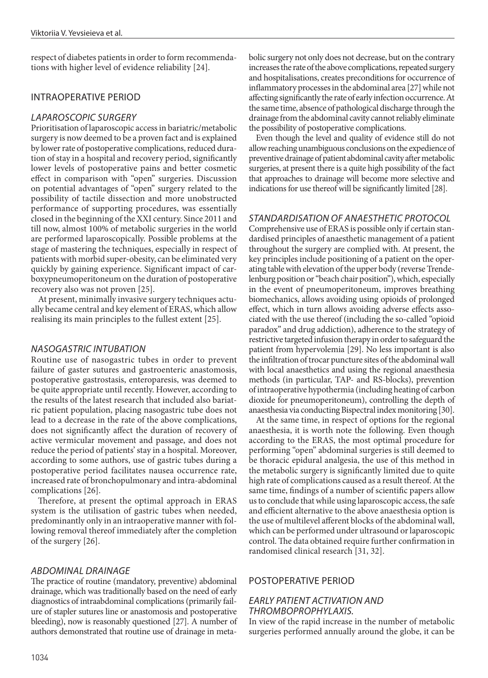respect of diabetes patients in order to form recommendations with higher level of evidence reliability [24].

### INTRAOPERATIVE PERIOD

### *LAPAROSCOPIC SURGERY*

Prioritisation of laparoscopic access in bariatric/metabolic surgery is now deemed to be a proven fact and is explained by lower rate of postoperative complications, reduced duration of stay in a hospital and recovery period, significantly lower levels of postoperative pains and better cosmetic effect in comparison with "open" surgeries. Discussion on potential advantages of "open" surgery related to the possibility of tactile dissection and more unobstructed performance of supporting procedures, was essentially closed in the beginning of the ХХІ century. Since 2011 and till now, almost 100% of metabolic surgeries in the world are performed laparoscopically. Possible problems at the stage of mastering the techniques, especially in respect of patients with morbid super-obesity, can be eliminated very quickly by gaining experience. Significant impact of carboxypneumoperitoneum on the duration of postoperative recovery also was not proven [25].

At present, minimally invasive surgery techniques actually became central and key element of ERAS, which allow realising its main principles to the fullest extent [25].

### *NASOGASTRIC INTUBATION*

Routine use of nasogastric tubes in order to prevent failure of gaster sutures and gastroenteric anastomosis, postoperative gastrostasis, enteroparesis, was deemed to be quite appropriate until recently. However, according to the results of the latest research that included also bariatric patient population, placing nasogastric tube does not lead to a decrease in the rate of the above complications, does not significantly affect the duration of recovery of active vermicular movement and passage, and does not reduce the period of patients' stay in a hospital. Moreover, according to some authors, use of gastric tubes during a postoperative period facilitates nausea occurrence rate, increased rate of bronchopulmonary and intra-abdominal complications [26].

Therefore, at present the optimal approach in ERAS system is the utilisation of gastric tubes when needed, predominantly only in an intraoperative manner with following removal thereof immediately after the completion of the surgery [26].

### *ABDOMINAL DRAINAGE*

The practice of routine (mandatory, preventive) abdominal drainage, which was traditionally based on the need of early diagnostics of intraabdominal complications (primarily failure of stapler sutures line or anastomosis and postoperative bleeding), now is reasonably questioned [27]. A number of authors demonstrated that routine use of drainage in metabolic surgery not only does not decrease, but on the contrary increases the rate of the above complications, repeated surgery and hospitalisations, creates preconditions for occurrence of inflammatory processes in the abdominal area [27] while not affecting significantly the rate of early infection occurrence. At the same time, absence of pathological discharge through the drainage from the abdominal cavity cannot reliably eliminate the possibility of postoperative complications.

Even though the level and quality of evidence still do not allow reaching unambiguous conclusions on the expedience of preventive drainage of patient abdominal cavity after metabolic surgeries, at present there is a quite high possibility of the fact that approaches to drainage will become more selective and indications for use thereof will be significantly limited [28].

### *STANDARDISATION OF ANAESTHETIC PROTOCOL*

Comprehensive use of ERAS is possible only if certain standardised principles of anaesthetic management of a patient throughout the surgery are complied with. At present, the key principles include positioning of a patient on the operating table with elevation of the upper body (reverse Trendelenburg position or "beach chair position"), which, especially in the event of pneumoperitoneum, improves breathing biomechanics, allows avoiding using opioids of prolonged effect, which in turn allows avoiding adverse effects associated with the use thereof (including the so-called "opioid paradox" and drug addiction), adherence to the strategy of restrictive targeted infusion therapy in order to safeguard the patient from hypervolemia [29]. No less important is also the infiltration of trocar puncture sites of the abdominal wall with local anaesthetics and using the regional anaesthesia methods (in particular, TAP- and RS-blocks), prevention of intraoperative hypothermia (including heating of carbon dioxide for pneumoperitoneum), controlling the depth of anaesthesia via conducting Bispectral index monitoring [30].

At the same time, in respect of options for the regional anaesthesia, it is worth note the following. Even though according to the ERAS, the most optimal procedure for performing "open" abdominal surgeries is still deemed to be thoracic epidural analgesia, the use of this method in the metabolic surgery is significantly limited due to quite high rate of complications caused as a result thereof. At the same time, findings of a number of scientific papers allow us to conclude that while using laparoscopic access, the safe and efficient alternative to the above anaesthesia option is the use of multilevel afferent blocks of the abdominal wall, which can be performed under ultrasound or laparoscopic control. The data obtained require further confirmation in randomised clinical research [31, 32].

### POSTOPERATIVE PERIOD

### *EARLY PATIENT ACTIVATION AND THROMBOPROPHYLAXIS.*

In view of the rapid increase in the number of metabolic surgeries performed annually around the globe, it can be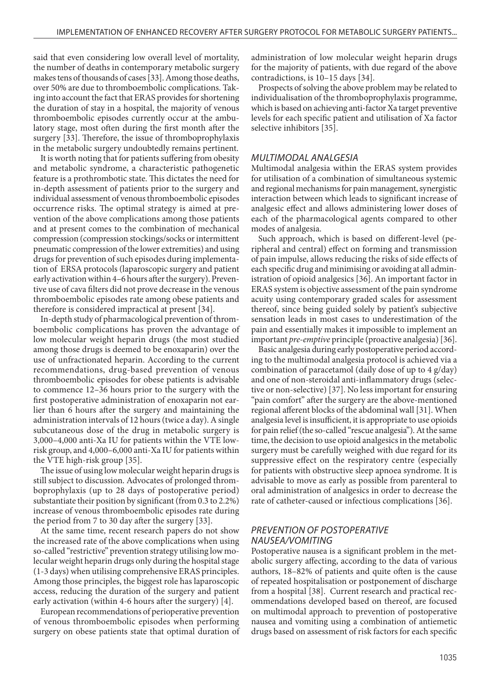said that even considering low overall level of mortality, the number of deaths in contemporary metabolic surgery makes tens of thousands of cases [33]. Among those deaths, over 50% are due to thromboembolic complications. Taking into account the fact that ERAS provides for shortening the duration of stay in a hospital, the majority of venous thromboembolic episodes currently occur at the ambulatory stage, most often during the first month after the surgery [33]. Therefore, the issue of thromboprophylaxis in the metabolic surgery undoubtedly remains pertinent.

It is worth noting that for patients suffering from obesity and metabolic syndrome, a characteristic pathogenetic feature is a prothrombotic state. This dictates the need for in-depth assessment of patients prior to the surgery and individual assessment of venous thromboembolic episodes occurrence risks. The optimal strategy is aimed at prevention of the above complications among those patients and at present comes to the combination of mechanical compression (compression stockings/socks or intermittent pneumatic compression of the lower extremities) and using drugs for prevention of such episodes during implementation of ERSA protocols (laparoscopic surgery and patient early activation within 4–6 hours after the surgery). Preventive use of cava filters did not prove decrease in the venous thromboembolic episodes rate among obese patients and therefore is considered impractical at present [34].

In-depth study of pharmacological prevention of thromboembolic complications has proven the advantage of low molecular weight heparin drugs (the most studied among those drugs is deemed to be enoxaparin) over the use of unfractionated heparin. According to the current recommendations, drug-based prevention of venous thromboembolic episodes for obese patients is advisable to commence 12–36 hours prior to the surgery with the first postoperative administration of enoxaparin not earlier than 6 hours after the surgery and maintaining the administration intervals of 12 hours (twice a day). A single subcutaneous dose of the drug in metabolic surgery is 3,000–4,000 anti-Xa IU for patients within the VTE lowrisk group, and 4,000–6,000 anti-Xa IU for patients within the VTE high-risk group [35].

The issue of using low molecular weight heparin drugs is still subject to discussion. Advocates of prolonged thromboprophylaxis (up to 28 days of postoperative period) substantiate their position by significant (from 0.3 to 2.2%) increase of venous thromboembolic episodes rate during the period from 7 to 30 day after the surgery [33].

At the same time, recent research papers do not show the increased rate of the above complications when using so-called "restrictive" prevention strategy utilising low molecular weight heparin drugs only during the hospital stage (1-3 days) when utilising comprehensive ERAS principles. Among those principles, the biggest role has laparoscopic access, reducing the duration of the surgery and patient early activation (within 4-6 hours after the surgery) [4].

European recommendations of perioperative prevention of venous thromboembolic episodes when performing surgery on obese patients state that optimal duration of administration of low molecular weight heparin drugs for the majority of patients, with due regard of the above contradictions, is 10–15 days [34].

Prospects of solving the above problem may be related to individualisation of the thromboprophylaxis programme, which is based on achieving anti-factor Xa target preventive levels for each specific patient and utilisation of Ха factor selective inhibitors [35].

#### *MULTIMODAL ANALGESIA*

Multimodal analgesia within the ERAS system provides for utilisation of a combination of simultaneous systemic and regional mechanisms for pain management, synergistic interaction between which leads to significant increase of analgesic effect and allows administering lower doses of each of the pharmacological agents compared to other modes of analgesia.

Such approach, which is based on different-level (peripheral and central) effect on forming and transmission of pain impulse, allows reducing the risks of side effects of each specific drug and minimising or avoiding at all administration of opioid analgesics [36]. An important factor in ERAS system is objective assessment of the pain syndrome acuity using contemporary graded scales for assessment thereof, since being guided solely by patient's subjective sensation leads in most cases to underestimation of the pain and essentially makes it impossible to implement an important *pre-emptive* principle (proactive analgesia) [36].

Basic analgesia during early postoperative period according to the multimodal analgesia protocol is achieved via a combination of paracetamol (daily dose of up to 4 g/day) and one of non-steroidal anti-inflammatory drugs (selective or non-selective) [37]. No less important for ensuring "pain comfort" after the surgery are the above-mentioned regional afferent blocks of the abdominal wall [31]. When analgesia level is insufficient, it is appropriate to use opioids for pain relief (the so-called "rescue analgesia"). At the same time, the decision to use opioid analgesics in the metabolic surgery must be carefully weighed with due regard for its suppressive effect on the respiratory centre (especially for patients with obstructive sleep apnoea syndrome. It is advisable to move as early as possible from parenteral to oral administration of analgesics in order to decrease the rate of catheter-caused or infectious complications [36].

#### *PREVENTION OF POSTOPERATIVE NAUSEA/VOMITING*

Postoperative nausea is a significant problem in the metabolic surgery affecting, according to the data of various authors, 18–82% of patients and quite often is the cause of repeated hospitalisation or postponement of discharge from a hospital [38]. Current research and practical recommendations developed based on thereof, are focused on multimodal approach to prevention of postoperative nausea and vomiting using a combination of antiemetic drugs based on assessment of risk factors for each specific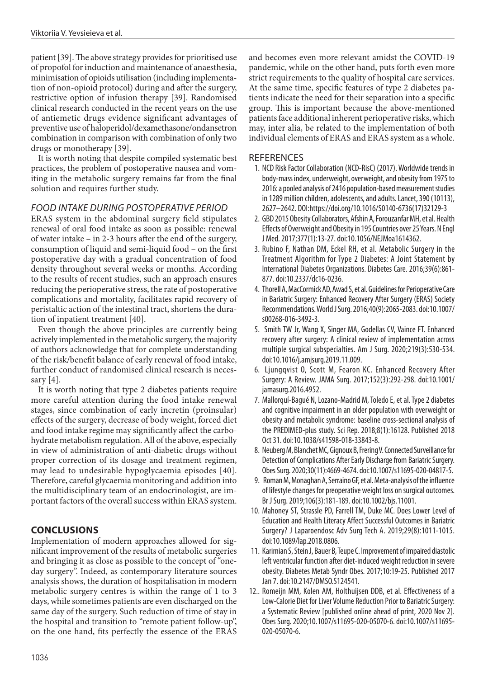patient [39]. The above strategy provides for prioritised use of propofol for induction and maintenance of anaesthesia, minimisation of opioids utilisation (including implementation of non-opioid protocol) during and after the surgery, restrictive option of infusion therapy [39]. Randomised clinical research conducted in the recent years on the use of antiemetic drugs evidence significant advantages of preventive use of haloperidol/dexamethasone/ondansetron combination in comparison with combination of only two drugs or monotherapy [39].

It is worth noting that despite compiled systematic best practices, the problem of postoperative nausea and vomiting in the metabolic surgery remains far from the final solution and requires further study.

### *FOOD INTAKE DURING POSTOPERATIVE PERIOD*

ERAS system in the abdominal surgery field stipulates renewal of oral food intake as soon as possible: renewal of water intake – in 2-3 hours after the end of the surgery, consumption of liquid and semi-liquid food – on the first postoperative day with a gradual concentration of food density throughout several weeks or months. According to the results of recent studies, such an approach ensures reducing the perioperative stress, the rate of postoperative complications and mortality, facilitates rapid recovery of peristaltic action of the intestinal tract, shortens the duration of inpatient treatment [40].

Even though the above principles are currently being actively implemented in the metabolic surgery, the majority of authors acknowledge that for complete understanding of the risk/benefit balance of early renewal of food intake, further conduct of randomised clinical research is necessary [4].

It is worth noting that type 2 diabetes patients require more careful attention during the food intake renewal stages, since combination of early incretin (proinsular) effects of the surgery, decrease of body weight, forced diet and food intake regime may significantly affect the carbohydrate metabolism regulation. All of the above, especially in view of administration of anti-diabetic drugs without proper correction of its dosage and treatment regimen, may lead to undesirable hypoglycaemia episodes [40]. Therefore, careful glycaemia monitoring and addition into the multidisciplinary team of an endocrinologist, are important factors of the overall success within ERAS system.

## **CONCLUSIONS**

Implementation of modern approaches allowed for significant improvement of the results of metabolic surgeries and bringing it as close as possible to the concept of "oneday surgery". Indeed, as contemporary literature sources analysis shows, the duration of hospitalisation in modern metabolic surgery centres is within the range of 1 to 3 days, while sometimes patients are even discharged on the same day of the surgery. Such reduction of time of stay in the hospital and transition to "remote patient follow-up", on the one hand, fits perfectly the essence of the ERAS

and becomes even more relevant amidst the COVID-19 pandemic, while on the other hand, puts forth even more strict requirements to the quality of hospital care services. At the same time, specific features of type 2 diabetes patients indicate the need for their separation into a specific group. This is important because the above-mentioned patients face additional inherent perioperative risks, which may, inter alia, be related to the implementation of both individual elements of ERAS and ERAS system as a whole.

### **REFERENCES**

- 1. NCD Risk Factor Collaboration (NCD-RisC) (2017). Worldwide trends in body-mass index, underweight, overweight, and obesity from 1975 to 2016: a pooled analysis of 2416 population-based measurement studies in 1289 million children, adolescents, and adults. Lancet, 390 (10113), 2627–2642. DOI:https://doi.org/10.1016/S0140-6736(17)32129-3
- 2. GBD 2015 Obesity Collaborators, Afshin A, Forouzanfar MH, et al. Health Effects of Overweight and Obesity in 195 Countries over 25 Years. N Engl J Med. 2017;377(1):13-27. doi:10.1056/NEJMoa1614362.
- 3. Rubino F, Nathan DM, Eckel RH, et al. Metabolic Surgery in the Treatment Algorithm for Type 2 Diabetes: A Joint Statement by International Diabetes Organizations. Diabetes Care. 2016;39(6):861- 877. doi:10.2337/dc16-0236.
- 4. Thorell A, MacCormick AD, Awad S, et al. Guidelines for Perioperative Care in Bariatric Surgery: Enhanced Recovery After Surgery (ERAS) Society Recommendations. World J Surg. 2016;40(9):2065-2083. doi:10.1007/ s00268-016-3492-3.
- 5. Smith TW Jr, Wang X, Singer MA, Godellas CV, Vaince FT. Enhanced recovery after surgery: A clinical review of implementation across multiple surgical subspecialties. Am J Surg. 2020;219(3):530-534. doi:10.1016/j.amjsurg.2019.11.009.
- 6. Ljungqvist O, Scott M, Fearon KC. Enhanced Recovery After Surgery: A Review. JAMA Surg. 2017;152(3):292-298. doi:10.1001/ jamasurg.2016.4952.
- 7. Mallorquí-Bagué N, Lozano-Madrid M, Toledo E, et al. Type 2 diabetes and cognitive impairment in an older population with overweight or obesity and metabolic syndrome: baseline cross-sectional analysis of the PREDIMED-plus study. Sci Rep. 2018;8(1):16128. Published 2018 Oct 31. doi:10.1038/s41598-018-33843-8.
- 8. Neuberg M, Blanchet MC, Gignoux B, Frering V. Connected Surveillance for Detection of Complications After Early Discharge from Bariatric Surgery. Obes Surg. 2020;30(11):4669-4674. doi:10.1007/s11695-020-04817-5.
- 9. Roman M, Monaghan A, Serraino GF, et al. Meta-analysis of the influence of lifestyle changes for preoperative weight loss on surgical outcomes. Br J Surg. 2019;106(3):181-189. doi:10.1002/bjs.11001.
- 10. Mahoney ST, Strassle PD, Farrell TM, Duke MC. Does Lower Level of Education and Health Literacy Affect Successful Outcomes in Bariatric Surgery? J Laparoendosc Adv Surg Tech A. 2019;29(8):1011-1015. doi:10.1089/lap.2018.0806.
- 11. Karimian S, Stein J, Bauer B, Teupe C. Improvement of impaired diastolic left ventricular function after diet-induced weight reduction in severe obesity. Diabetes Metab Syndr Obes. 2017;10:19-25. Published 2017 Jan 7. doi:10.2147/DMSO.S124541.
- 12.. Romeijn MM, Kolen AM, Holthuijsen DDB, et al. Effectiveness of a Low-Calorie Diet for Liver Volume Reduction Prior to Bariatric Surgery: a Systematic Review [published online ahead of print, 2020 Nov 2]. Obes Surg. 2020;10.1007/s11695-020-05070-6. doi:10.1007/s11695- 020-05070-6.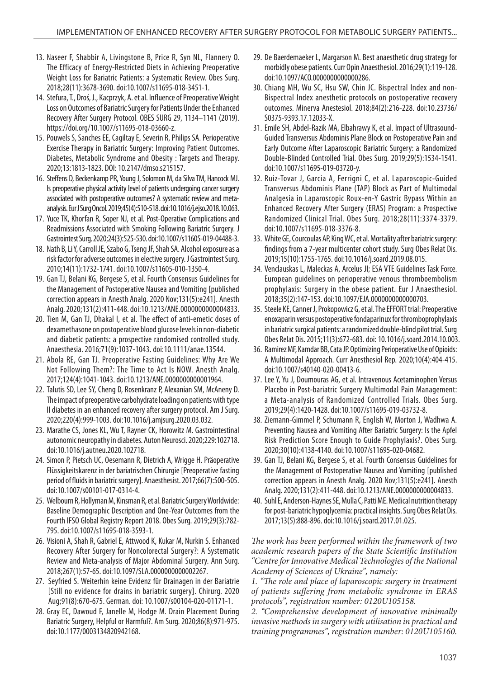- 13. Naseer F, Shabbir A, Livingstone B, Price R, Syn NL, Flannery O. The Efficacy of Energy-Restricted Diets in Achieving Preoperative Weight Loss for Bariatric Patients: a Systematic Review. Obes Surg. 2018;28(11):3678-3690. doi:10.1007/s11695-018-3451-1.
- 14. Stefura, T., Droś, J., Kacprzyk, A. et al. Influence of Preoperative Weight Loss on Outcomes of Bariatric Surgery for Patients Under the Enhanced Recovery After Surgery Protocol. OBES SURG 29, 1134–1141 (2019). https://doi.org/10.1007/s11695-018-03660-z.
- 15. Pouwels S, Sanches EE, Cagiltay E, Severin R, Philips SA. Perioperative Exercise Therapy in Bariatric Surgery: Improving Patient Outcomes. Diabetes, Metabolic Syndrome and Obesity : Targets and Therapy. 2020;13:1813-1823. DOI: 10.2147/dmso.s215157.
- 16. Steffens D, Beckenkamp PR, Young J, Solomon M, da Silva TM, Hancock MJ. Is preoperative physical activity level of patients undergoing cancer surgery associated with postoperative outcomes? A systematic review and metaanalysis. Eur J Surg Oncol. 2019;45(4):510-518. doi:10.1016/j.ejso.2018.10.063.
- 17. Yuce TK, Khorfan R, Soper NJ, et al. Post-Operative Complications and Readmissions Associated with Smoking Following Bariatric Surgery. J Gastrointest Surg. 2020;24(3):525-530. doi:10.1007/s11605-019-04488-3.
- 18. Nath B, Li Y, Carroll JE, Szabo G, Tseng JF, Shah SA. Alcohol exposure as a risk factor for adverse outcomes in elective surgery. J Gastrointest Surg. 2010;14(11):1732-1741. doi:10.1007/s11605-010-1350-4.
- 19. Gan TJ, Belani KG, Bergese S, et al. Fourth Consensus Guidelines for the Management of Postoperative Nausea and Vomiting [published correction appears in Anesth Analg. 2020 Nov;131(5):e241]. Anesth Analg. 2020;131(2):411-448. doi:10.1213/ANE.0000000000004833.
- 20. Tien M, Gan TJ, Dhakal I, et al. The effect of anti-emetic doses of dexamethasone on postoperative blood glucose levels in non-diabetic and diabetic patients: a prospective randomised controlled study. Anaesthesia. 2016;71(9):1037-1043. doi:10.1111/anae.13544.
- 21. Abola RE, Gan TJ. Preoperative Fasting Guidelines: Why Are We Not Following Them?: The Time to Act Is NOW. Anesth Analg. 2017;124(4):1041-1043. doi:10.1213/ANE.0000000000001964.
- 22. Talutis SD, Lee SY, Cheng D, Rosenkranz P, Alexanian SM, McAneny D. The impact of preoperative carbohydrate loading on patients with type II diabetes in an enhanced recovery after surgery protocol. Am J Surg. 2020;220(4):999-1003. doi:10.1016/j.amjsurg.2020.03.032.
- 23. Marathe CS, Jones KL, Wu T, Rayner CK, Horowitz M. Gastrointestinal autonomic neuropathy in diabetes. Auton Neurosci. 2020;229:102718. doi:10.1016/j.autneu.2020.102718.
- 24. Simon P, Pietsch UC, Oesemann R, Dietrich A, Wrigge H. Präoperative Flüssigkeitskarenz in der bariatrischen Chirurgie [Preoperative fasting period of fluids in bariatric surgery]. Anaesthesist. 2017;66(7):500-505. doi:10.1007/s00101-017-0314-4.
- 25. Welbourn R, Hollyman M, Kinsman R, et al. Bariatric Surgery Worldwide: Baseline Demographic Description and One-Year Outcomes from the Fourth IFSO Global Registry Report 2018. Obes Surg. 2019;29(3):782- 795. doi:10.1007/s11695-018-3593-1.
- 26. Visioni A, Shah R, Gabriel E, Attwood K, Kukar M, Nurkin S. Enhanced Recovery After Surgery for Noncolorectal Surgery?: A Systematic Review and Meta-analysis of Major Abdominal Surgery. Ann Surg. 2018;267(1):57-65. doi:10.1097/SLA.0000000000002267.
- 27. Seyfried S. Weiterhin keine Evidenz für Drainagen in der Bariatrie [Still no evidence for drains in bariatric surgery]. Chirurg. 2020 Aug;91(8):670-675. German. doi: 10.1007/s00104-020-01171-1.
- 28. Gray EC, Dawoud F, Janelle M, Hodge M. Drain Placement During Bariatric Surgery, Helpful or Harmful?. Am Surg. 2020;86(8):971-975. doi:10.1177/0003134820942168.
- 29. De Baerdemaeker L, Margarson M. Best anaesthetic drug strategy for morbidly obese patients. Curr Opin Anaesthesiol. 2016;29(1):119-128. doi:10.1097/ACO.0000000000000286.
- 30. Chiang MH, Wu SC, Hsu SW, Chin JC. Bispectral Index and non-Bispectral Index anesthetic protocols on postoperative recovery outcomes. Minerva Anestesiol. 2018;84(2):216-228. doi:10.23736/ S0375-9393.17.12033-X.
- 31. Emile SH, Abdel-Razik MA, Elbahrawy K, et al. Impact of Ultrasound-Guided Transversus Abdominis Plane Block on Postoperative Pain and Early Outcome After Laparoscopic Bariatric Surgery: a Randomized Double-Blinded Controlled Trial. Obes Surg. 2019;29(5):1534-1541. doi:10.1007/s11695-019-03720-y.
- 32. Ruiz-Tovar J, Garcia A, Ferrigni C, et al. Laparoscopic-Guided Transversus Abdominis Plane (TAP) Block as Part of Multimodal Analgesia in Laparoscopic Roux-en-Y Gastric Bypass Within an Enhanced Recovery After Surgery (ERAS) Program: a Prospective Randomized Clinical Trial. Obes Surg. 2018;28(11):3374-3379. doi:10.1007/s11695-018-3376-8.
- 33. White GE, Courcoulas AP, King WC, et al. Mortality after bariatric surgery: findings from a 7-year multicenter cohort study. Surg Obes Relat Dis. 2019;15(10):1755-1765. doi:10.1016/j.soard.2019.08.015.
- 34. Venclauskas L, Maleckas A, Arcelus JI; ESA VTE Guidelines Task Force. European guidelines on perioperative venous thromboembolism prophylaxis: Surgery in the obese patient. Eur J Anaesthesiol. 2018;35(2):147-153. doi:10.1097/EJA.0000000000000703.
- 35. Steele KE, Canner J, Prokopowicz G, et al. The EFFORT trial: Preoperative enoxaparin versus postoperative fondaparinux for thromboprophylaxis in bariatric surgical patients: a randomized double-blind pilot trial. Surg Obes Relat Dis. 2015;11(3):672-683. doi: 10.1016/j.soard.2014.10.003.
- 36. Ramirez MF, Kamdar BB, Cata JP. Optimizing Perioperative Use of Opioids: A Multimodal Approach. Curr Anesthesiol Rep. 2020;10(4):404-415. doi:10.1007/s40140-020-00413-6.
- 37. Lee Y, Yu J, Doumouras AG, et al. Intravenous Acetaminophen Versus Placebo in Post-bariatric Surgery Multimodal Pain Management: a Meta-analysis of Randomized Controlled Trials. Obes Surg. 2019;29(4):1420-1428. doi:10.1007/s11695-019-03732-8.
- 38. Ziemann-Gimmel P, Schumann R, English W, Morton J, Wadhwa A. Preventing Nausea and Vomiting After Bariatric Surgery: Is the Apfel Risk Prediction Score Enough to Guide Prophylaxis?. Obes Surg. 2020;30(10):4138-4140. doi:10.1007/s11695-020-04682.
- 39. Gan TJ, Belani KG, Bergese S, et al. Fourth Consensus Guidelines for the Management of Postoperative Nausea and Vomiting [published correction appears in Anesth Analg. 2020 Nov;131(5):e241]. Anesth Analg. 2020;131(2):411-448. doi:10.1213/ANE.0000000000004833.
- 40. Suhl E, Anderson-Haynes SE, Mulla C, Patti ME. Medical nutrition therapy for post-bariatric hypoglycemia: practical insights. Surg Obes Relat Dis. 2017;13(5):888-896. doi:10.1016/j.soard.2017.01.025.

*The work has been performed within the framework of two academic research papers of the State Scientific Institution "Centre for Innovative Medical Technologies of the National Academy of Sciences of Ukraine", namely:*

*1. "The role and place of laparoscopic surgery in treatment of patients suffering from metabolic syndrome in ERAS protocols", registration number: 0120U105158.* 

*2. "Comprehensive development of innovative minimally invasive methods in surgery with utilisation in practical and training programmes", registration number: 0120U105160.*